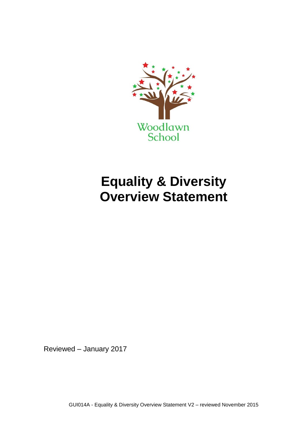

## **Equality & Diversity Overview Statement**

Reviewed – January 2017

GUI014A - Equality & Diversity Overview Statement V2 – reviewed November 2015